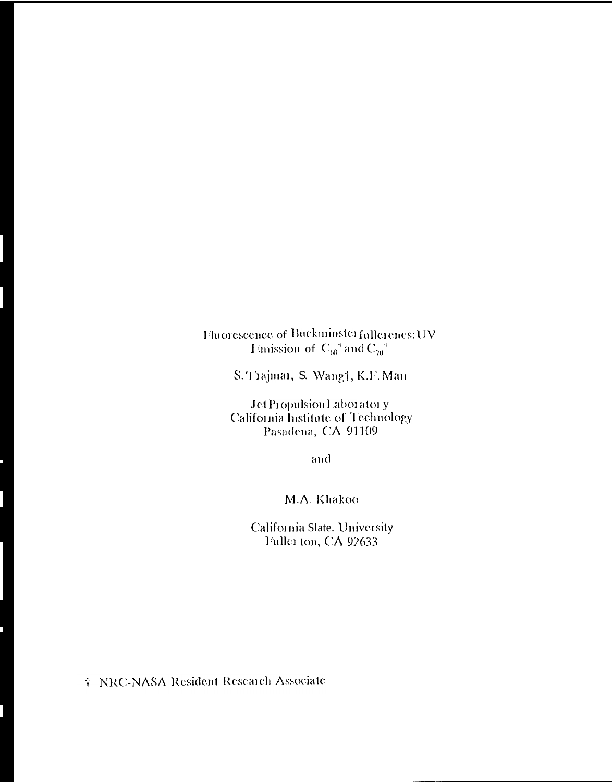Fluorescence of Buckminster fullerencs: UV<br>Išmission of  $C_{60}^+$  and  $C_{70}^+$ 

S. Trajmar, S. Wang†, K.F. Man

JetPropulsion1 aboratory California Institute of Technology Pasadena, CA 91109

and

M.A. Khakoo

California Slate. University Fuller ton, CA 92633

† NRC-NASA Resident Research Associate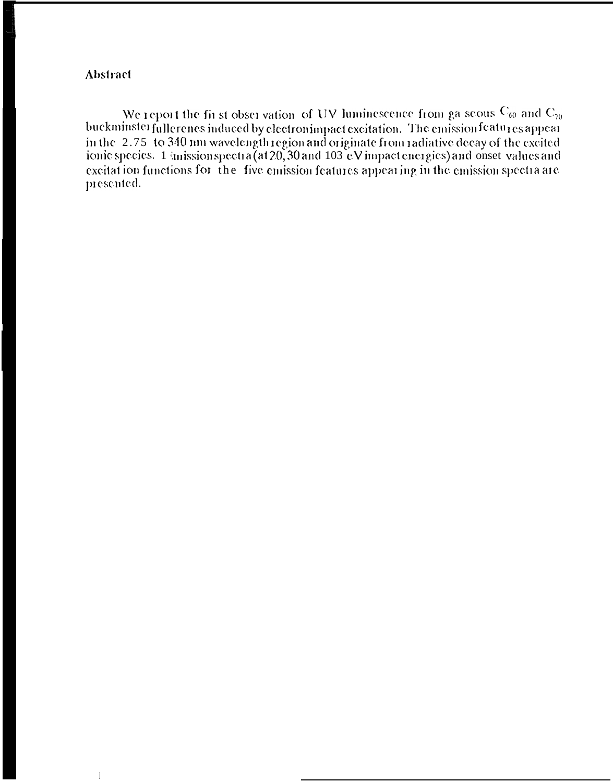## **Abstract**

We report the first observation of UV luminescence from ga seous  $C_{60}$  and  $C_{70}$ buckminster fullerenes induced by electron impact excitation. The emission features appear in the 2.75 to 340 nm wavelength region and originate from radiative decay of the excited<br>ionic species. 1 imission spectra (at 20, 30 and 103 eV impact energies) and onset values and excitation functions for the five emission features appearing in the emission spectra are presented.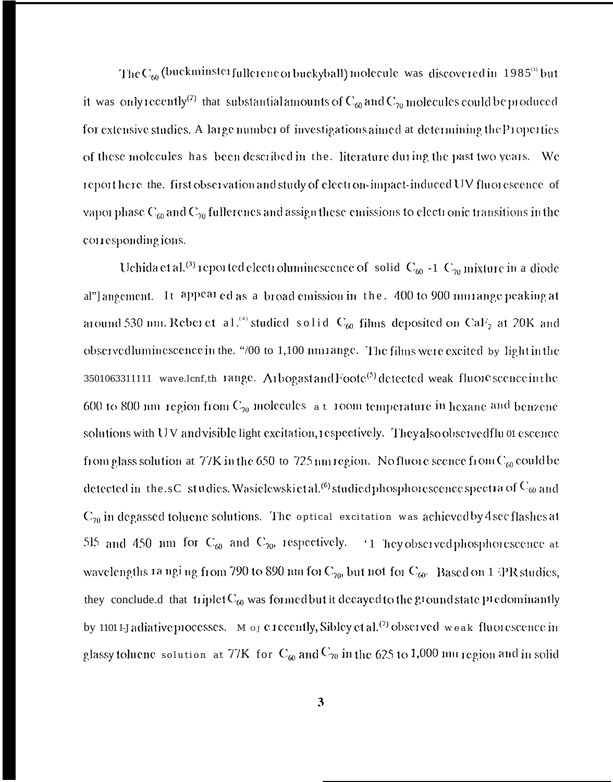The  $C_{60}$  (buckminster fullerene or buckyball) molecule was discovered in 1985<sup>(1)</sup> but it was only recently<sup>(2)</sup> that substantial amounts of  $C_{60}$  and  $C_{70}$  molecules could be produced for extensive studies. A large number of investigations aimed at determining the Properties of these molecules has been described in the. literature during the past two years. We report here the. first observation and study of electron-impact-induced UV fluorescence of vapor phase  $C_{60}$  and  $C_{70}$  fullerenes and assign these emissions to electronic transitions in the corresponding ions.

Uchida et al.<sup>(3)</sup> reported electroluminescence of solid  $C_{60}$  -1  $C_{70}$  mixture in a diode al" angement. It appeared as a broad emission in the. 400 to 900 mn range peaking at around 530 nm. Reber et al.<sup>(4)</sup> studied solid C<sub>60</sub> films deposited on CaF<sub>2</sub> at 20K and observedluminescence in the. "/00 to 1,100 nmrange. The films were excited by light in the 3501063311111 wave.lenf,th range. Arbogast and Foote<sup>(5)</sup> detected weak fluore scence in the 600 to 800 nm region from  $C_{20}$  molecules at 100m temperature in hexane and benzene solutions with UV and visible light excitation, respectively. They also observed flu 01 escence from glass solution at 77K in the 650 to 725 nm region. No fluore scence from  $C_{60}$  could be detected in the sC studies. Wasielewskietal.<sup>(6)</sup> studied phosphorescence spectra of  $C_{60}$  and  $C_{70}$  in degassed toluene solutions. The optical excitation was achieved by 4 secflashes at 515 and 450 nm for  $C_{60}$  and  $C_{70}$ , respectively. <sup>1</sup> hey observed phosphorescence at wavelengths ranging from 790 to 890 nm for  $C_{70}$ , but not for  $C_{60}$ . Based on 1 PR studies, they conclude.d that triplet  $C_{60}$  was formed but it decayed to the ground state predominantly by 1101 I-J adiative processes. M or execently, Sibley et al.<sup>(7)</sup> observed weak fluorescence in glassy toluene solution at 77K for  $C_{60}$  and  $C_{70}$  in the 625 to 1,000 nm region and in solid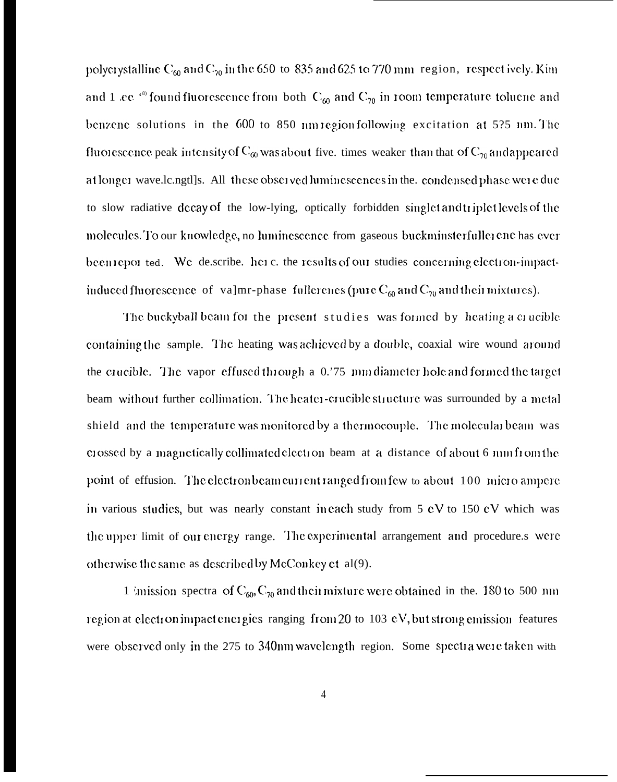polycrystalline C<sub>60</sub> and C<sub>70</sub> in the 650 to 835 and 625 to 770 mm region, respect ively. Kim and 1 ce<sup>ss</sup> found fluorescence from both  $C_{60}$  and  $C_{70}$  in room temperature toluene and benzene solutions in the 600 to 850 nm region following excitation at 5?5 nm. The fluorescence peak intensity of  $C_{60}$  was about five. times weaker than that of  $C_{70}$  and appeared at longer wave.le.ngtl]s. All these observed luminescences in the. condensed phase were due to slow radiative decay of the low-lying, optically forbidden singlet and triplet levels of the molecules. To our knowledge, no luminescence from gaseous buckminsterfullerene has ever been reported. We describe. here, the results of our studies concerning electron-impactinduced fluorescence of valmr-phase fullerenes (pure  $C_{\omega}$  and  $C_{\gamma 0}$  and their mixtures).

The buckyball beam for the present studies was formed by heating a crucible containing the sample. The heating was achieved by a double, coaxial wire wound around the crucible. The vapor effused through a 0.75 mm diameter hole and formed the target beam without further collimation. The heater-crucible structure was surrounded by a metal shield and the temperature was monitored by a thermocouple. The molecular beam was crossed by a magnetically collimated electron beam at a distance of about 6 mm from the point of effusion. The electron beam current ranged from few to about 100 micro ampere in various studies, but was nearly constant in each study from 5 eV to 150 eV which was the upper limit of our energy range. The experimental arrangement and procedure.s were otherwise the same as described by McConkey et al(9).

1 imission spectra of  $C_{60}$ ,  $C_{70}$  and their mixture were obtained in the. 180 to 500 nm region at electron impact energies ranging from 20 to 103  $eV$ , but strong emission features were observed only in the 275 to 340nm wavelength region. Some spectra were taken with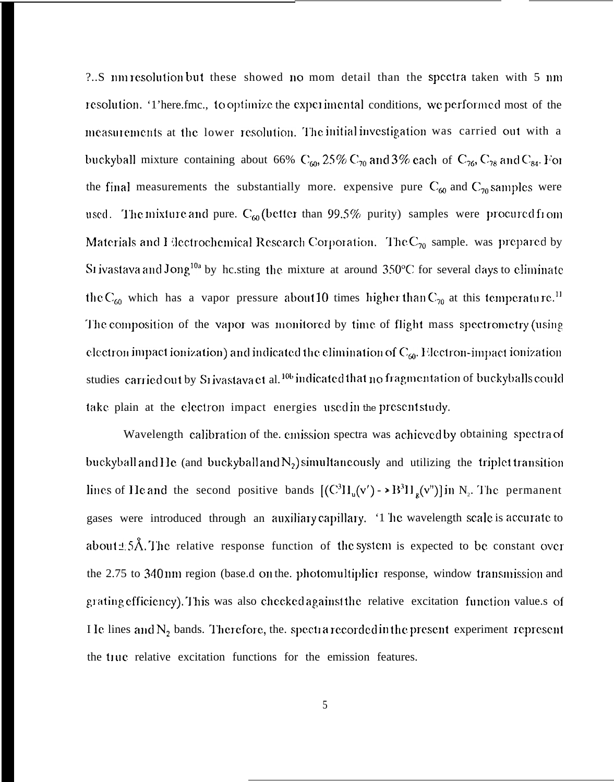?..S nm resolution but these showed no mom detail than the spectra taken with 5 nm resolution. '1'here.fmc., to optimize the experimental conditions, we performed most of the measurements at the lower resolution. The initial investigation was carried out with a buckyball mixture containing about 66%  $C_{60}$ , 25%  $C_{70}$  and 3% each of  $C_{76}$ ,  $C_{78}$  and  $C_{84}$ . For the final measurements the substantially more. expensive pure  $C_{60}$  and  $C_{70}$  samples were used. The mixture and pure.  $C_{60}$  (better than 99.5% purity) samples were procured from Materials and I lectrochemical Research Corporation. The  $C_{70}$  sample, was prepared by SI ivastava and Jong<sup>10a</sup> by he.sting the mixture at around 350°C for several days to eliminate the C<sub>60</sub> which has a vapor pressure about 10 times higher than C<sub>70</sub> at this temperature.<sup>11</sup> The composition of the vapor was monitored by time of flight mass spectrometry (using electron impact ionization) and indicated the elimination of  $C_{60}$ . Electron-impact ionization studies carried out by Srivastava et al.<sup>106</sup> indicated that no fragmentation of buckyballs could take plain at the electron impact energies used in the present study.

Wavelength calibration of the emission spectra was achieved by obtaining spectra of buckyball and He (and buckyball and  $N_2$ ) simultaneously and utilizing the triplet transition lines of He and the second positive bands  $[(C^3H_u(v') - \rightarrow B^3H_g(v'')]$  in N<sub>2</sub>. The permanent gases were introduced through an auxiliary capillary. '1 he wavelength scale is accurate to about  $\pm$  5Å. The relative response function of the system is expected to be constant over the 2.75 to 340 nm region (base.d on the. photomultiplier response, window transmission and grating efficiency). This was also checked against the relative excitation function value s of I Ie lines and  $N_2$  bands. Therefore, the. spectra recorded in the present experiment represent the true relative excitation functions for the emission features.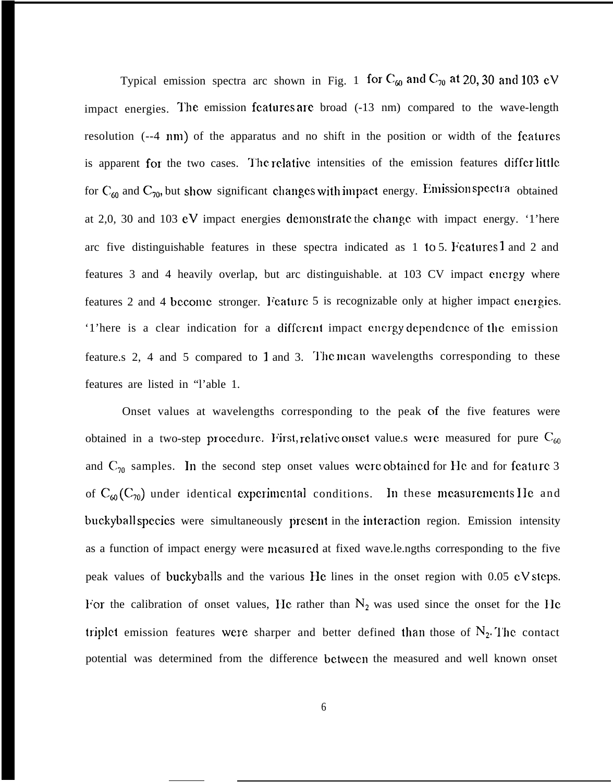Typical emission spectra arc shown in Fig. 1 for  $C_{60}$  and  $C_{70}$  at 20, 30 and 103 eV impact energies. The emission features are broad  $(-13 \text{ nm})$  compared to the wave-length resolution (--4 nm) of the apparatus and no shift in the position or width of the features is apparent for the two cases. The relative intensities of the emission features differ little for  $C_{60}$  and  $C_{70}$ , but show significant changes with impact energy. Emission spectra obtained at 2,0, 30 and 103 eV impact energies demonstrate the change with impact energy. '1'here arc five distinguishable features in these spectra indicated as  $1$  to  $5$ . Features  $1$  and  $2$  and features 3 and 4 heavily overlap, but arc distinguishable. at 103 CV impact energy where features 2 and 4 become stronger. Feature 5 is recognizable only at higher impact energies. '1'here is a clear indication for a different impact energy dependence of the emission feature.s 2, 4 and 5 compared to 1 and 3. The mean wavelengths corresponding to these features are listed in "l'able 1.

Onset values at wavelengths corresponding to the peak of the five features were obtained in a two-step procedure. First, relative onset value.s were measured for pure  $C_{60}$ and  $C_{70}$  samples. In the second step onset values were obtained for He and for feature 3 of  $C_{60}(C_{70})$  under identical experimental conditions. In these measurements IIe and buckyball species were simultaneously present in the interaction region. Emission intensity as a function of impact energy were measured at fixed wave.le.ngths corresponding to the five peak values of buckyballs and the various Hc lines in the onset region with 0.05 eV steps. For the calibration of onset values, He rather than  $N_2$  was used since the onset for the He triplet emission features were sharper and better defined than those of  $N_2$ . The contact potential was determined from the difference bctwccn the measured and well known onset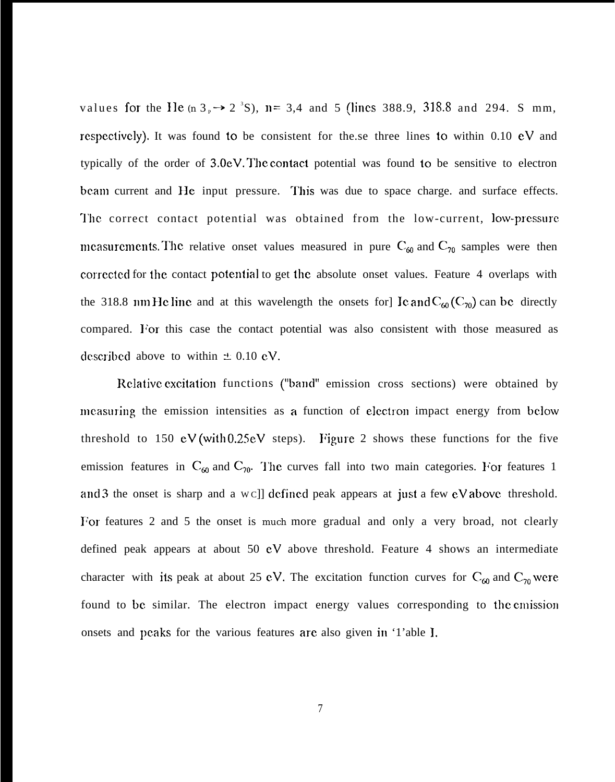values for the He  $(n 3<sub>P</sub> \rightarrow 2<sup>3</sup>S)$ , n= 3,4 and 5 (lines 388.9, 318.8 and 294. S mm, respectively). It was found to be consistent for the.se three lines to within  $0.10 \text{ eV}$  and typically of the order of  $3.0$ eV. The contact potential was found to be sensitive to electron beam current and He input pressure. This was due to space charge, and surface effects. The correct contact potential was obtained from the low-current, low-pressure mcasurements. The relative onset values measured in pure  $C_{60}$  and  $C_{70}$  samples were then corrected for the contact potential to get the absolute onset values. Feature 4 overlaps with the 318.8 nm He line and at this wavelength the onsets for] Ic and  $C_{60}(C_{70})$  can be directly compared. For this case the contact potential was also consistent with those measured as described above to within  $\pm$  0.10 eV.

Relative excitation functions ("band" emission cross sections) were obtained by measuring the emission intensities as a function of electron impact energy from below threshold to 150 eV (with 0.25 eV steps). Figure 2 shows these functions for the five emission features in  $C_{60}$  and  $C_{70}$ . The curves fall into two main categories. For features 1 and 3 the onset is sharp and a w c]] defined peak appears at just a few  $eV$  above threshold. For features 2 and 5 the onset is much more gradual and only a very broad, not clearly defined peak appears at about 50 eV above threshold. Feature 4 shows an intermediate character with its peak at about 25 eV. The excitation function curves for  $C_{\text{60}}$  and  $C_{\text{70}}$  were found to be similar. The electron impact energy values corresponding to the emission onsets and peaks for the various features are also given in '1'able 1,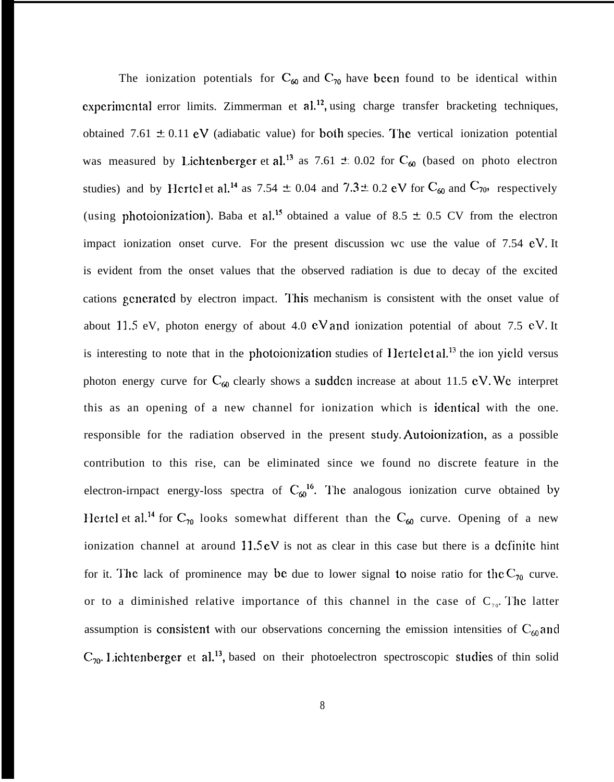The ionization potentials for  $C_{60}$  and  $C_{70}$  have been found to be identical within experimental error limits. Zimmerman et  $al^{12}$ , using charge transfer bracketing techniques, obtained 7.61  $\pm$  0.11 eV (adiabatic value) for both species. The vertical ionization potential was measured by Lichtenberger et al.<sup>13</sup> as 7.61  $\pm$  0.02 for C<sub>60</sub> (based on photo electron studies) and by Hertcl et al.<sup>14</sup> as 7.54  $\pm$  0.04 and 7.3  $\pm$  0.2 eV for C<sub>60</sub> and C<sub>70</sub>, respectively (using photoionization). Baba et al.<sup>15</sup> obtained a value of 8.5  $\pm$  0.5 CV from the electron impact ionization onset curve. For the present discussion wc use the value of 7.54 eV. It is evident from the onset values that the observed radiation is due to decay of the excited cations gcncratcd by electron impact. '1'his mechanism is consistent with the onset value of about 11.5 eV, photon energy of about 4.0  $eV$  and ionization potential of about 7.5 eV. It is interesting to note that in the photoionization studies of Hertel et al.<sup>13</sup> the ion yield versus photon energy curve for  $C_{60}$  clearly shows a sudden increase at about 11.5 eV. We interpret this as an opening of a new channel for ionization which is identical with the one. responsible for the radiation observed in the present study. Autoionization, as a possible contribution to this rise, can be eliminated since we found no discrete feature in the electron-irnpact energy-loss spectra of  $C_{\omega}^{16}$ . The analogous ionization curve obtained by Hertel et al.<sup>14</sup> for C<sub>70</sub> looks somewhat different than the C<sub>60</sub> curve. Opening of a new ionization channel at around  $11.5 \text{ eV}$  is not as clear in this case but there is a definite hint for it. The lack of prominence may be due to lower signal to noise ratio for the  $C_{70}$  curve. or to a diminished relative importance of this channel in the case of  $C_{70}$ . The latter assumption is consistent with our observations concerning the emission intensities of  $C_{60}$  and  $C_{70}$ . Lichtenberger et al.<sup>13</sup>, based on their photoelectron spectroscopic studies of thin solid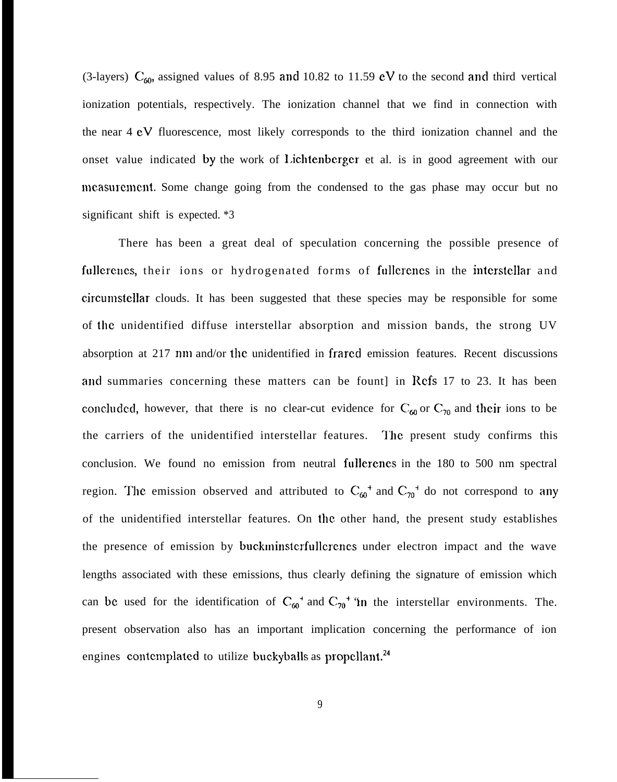(3-layers)  $C_{60}$ , assigned values of 8.95 and 10.82 to 11.59 eV to the second and third vertical ionization potentials, respectively. The ionization channel that we find in connection with the near 4 eV fluorescence, most likely corresponds to the third ionization channel and the onset value indicated by the work of I.ichtenbergcr et al. is in good agreement with our measurement. Some change going from the condensed to the gas phase may occur but no significant shift is expected. \*3

There has been a great deal of speculation concerning the possible presence of fullerenes, their ions or hydrogenated forms of fullerenes in the interstellar and circumstellar clouds. It has been suggested that these species may be responsible for some of the unidentified diffuse interstellar absorption and mission bands, the strong UV absorption at 217 nm and/or the unidentified in frared emission features. Recent discussions and summaries concerning these matters can be fount in Refs  $17$  to  $23$ . It has been concluded, however, that there is no clear-cut evidence for  $C_{60}$  or  $C_{70}$  and their ions to be the carriers of the unidentified interstellar features. The present study confirms this conclusion. We found no emission from neutral fullerenes in the 180 to 500 nm spectral region. The emission observed and attributed to  $C_{60}^+$  and  $C_{70}^+$  do not correspond to any of the unidentified interstellar features. On the other hand, the present study establishes the presence of emission by buckminsterfullcrenes under electron impact and the wave lengths associated with these emissions, thus clearly defining the signature of emission which can be used for the identification of  $C_{60}^{\dagger}$  and  $C_{70}^{\dagger}$  "in the interstellar environments. The. present observation also has an important implication concerning the performance of ion engines contemplated to utilize buckyballs as propellant.<sup>24</sup>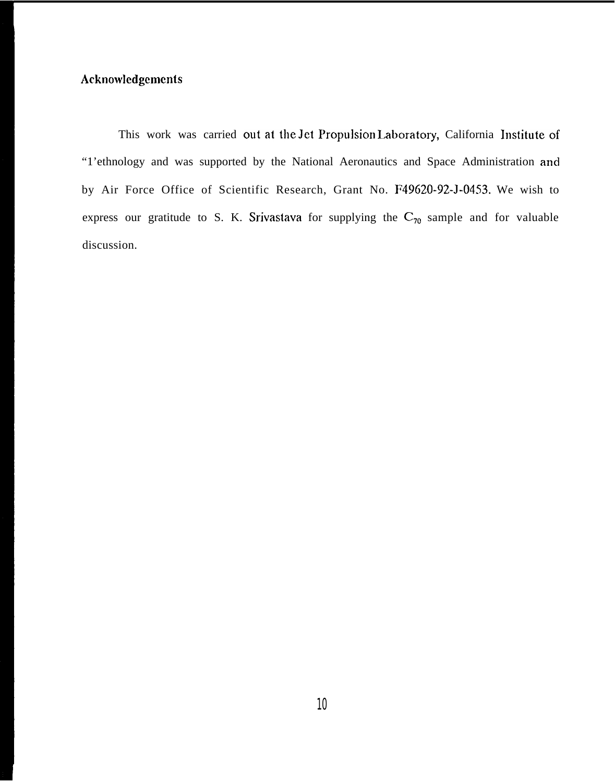## Acknowledgements

This work was carried out at the Jet Propulsion Laboratory, California Institute of "1'ethnology and was supported by the National Aeronautics and Space Administration and by Air Force Office of Scientific Research, Grant No. F49620-92-J-0453. We wish to express our gratitude to S. K. Srivastava for supplying the  $C_{70}$  sample and for valuable discussion.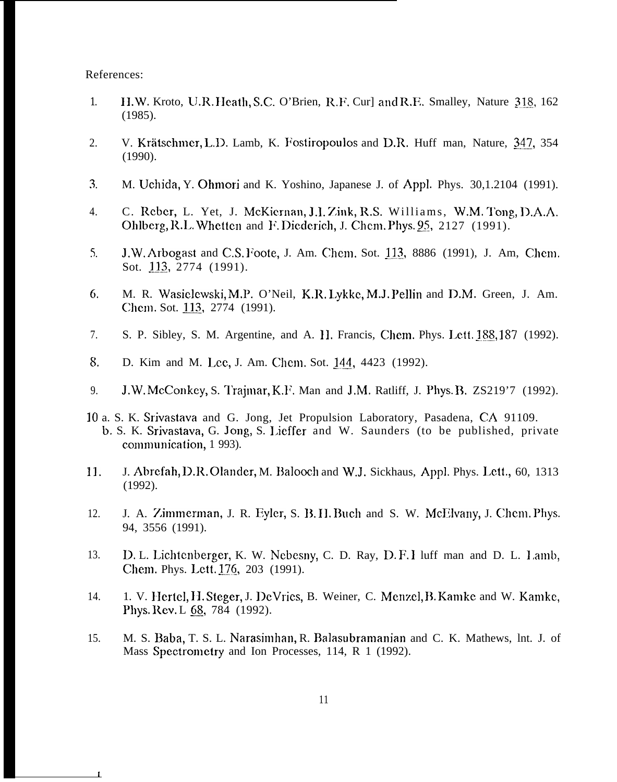References:

 $\mathbf{I}$ 

- 1. H.W. Kroto, U.R. Heath, S.C. O'Brien, R.F. Cur] and R.F. Smalley, Nature 318, 162 (1985).
- 2. V. Krätschmer, L.D. Lamb, K. Fostiropoulos and D.R. Huff man, Nature, 347, 354 (1990).
- $3<sub>l</sub>$ M. Uchida, Y. Ohmori and K. Yoshino, Japanese J. of Appl. Phys. 30,1.2104 (1991).
- 4. C. Reber, L. Yet, J. McKiernan, J.I. Zink, R.S. Williams, W.M. Tong, D.A.A. Ohlberg, R.L. Whetten and F. Diederich, J. Chem. Phys. 95, 2127 (1991).
- $5.$ J.W. Arbogast and C.S. Foote, J. Am. Chem. Sot. 113, 8886 (1991), J. Am, Chem. Sot. 113, 2774 (1991).
- 6. M. R. Wasiclcwski, M.P. O'Neil, K.R, Lykkc, M.J. Pellin and D.M. Green, J. Am. Chem. Sot. 113, 2774 (1991).
- 7. S. P. Sibley, S. M. Argentine, and A. II. Francis, Chem. Phys. Lett. 188, 187 (1992).
- 8. D. Kim and M. Lee, J. Am. Chem. Sot. 144, 4423 (1992).
- 9. J.W. McConkey, S. Trajmar, K.]'. Man and J.M. Ratliff, J. Phys. B. ZS219'7 (1992).
- 10 a. S. K. Srivastava and G. Jong, Jet Propulsion Laboratory, Pasadena, CA 91109. b. S. K. Srivastava, G. Jong, S. I,ieffer and W. Saunders (to be published, private communication, 1 993).
- 11. J. Abrefah, D.R. Olander, M. Balooch and W.J. Sickhaus, Appl. Phys. Lett., 60, 1313 (1992).
- 12. J. A. Y.immerman, J. R. Eyler, S. B. II. Buch and S. W. McElvany, J. Chcm. Phys. 94, 3556 (1991).
- 13. D. L. Lichtcnberger, K. W. Ncbesny, C. D. Ray, D. F. 1 luff man and D. L. 1,amb, Chem. Phys. Lett. 176, 203 (1991).
- 14. 1. V. Hertel, H. Steger, J. De Vries, B. Weiner, C. Menzel, B. Kamke and W. Kamke, Phys. Rev. L 68, 784 (1992).
- 15. M. S. Baba, T. S. L. Narasimhan, R. Balasubramanian and C. K. Mathews, lnt. J. of Mass Spectrometry and Ion Processes, 114, R 1 (1992).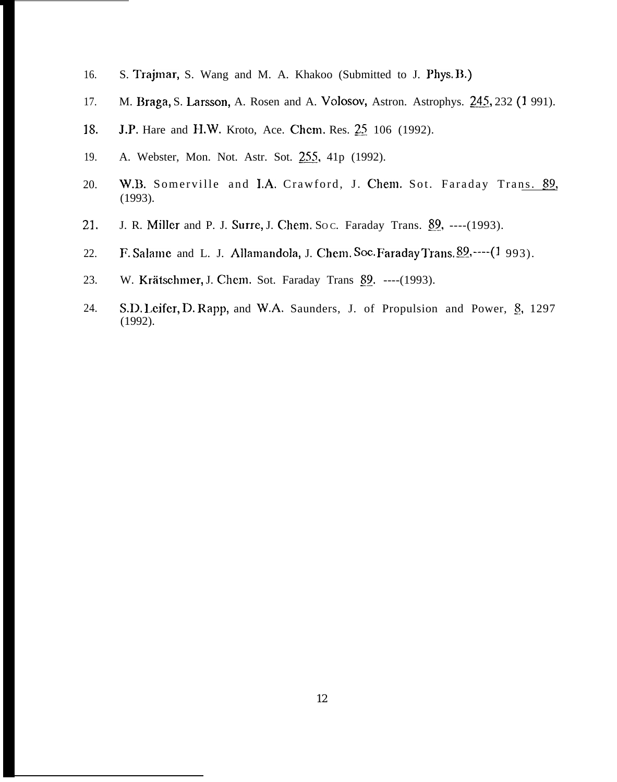- 16. S. Trajmar, S. Wang and M. A. Khakoo (Submitted to J. Phys. B,)
- 17. M. Braga, S. Larsson, A. Rosen and A. Volosov, Astron. Astrophys. 245, 232 (1991).
- 18. J.P. Hare and H.W. Kroto, Ace. Chem. Res. 25 106 (1992).
- 19. A. Webster, Mon. Not. Astr. Sot. 255, 41p (1992).
- 20. W.B. Somerville and I.A. Crawford, J. Chem. Sot. Faraday Trans. 89, (1993).
- 21. J. R. Miller and P. J. Surre, J. Chem. Soc. Faraday Trans. 89, ----(1993).
- 22. F. Salame and L. J. Allamandola, J. Chem. Soc. Faraday Trans.  $89, \dots (1993)$ .
- 23. W. Krätschmer, J. Chem. Sot. Faraday Trans 89. ----(1993).
- 24. S.D. Leifer, D. Rapp, and W.A. Saunders, J. of Propulsion and Power, §, 1297 (1992).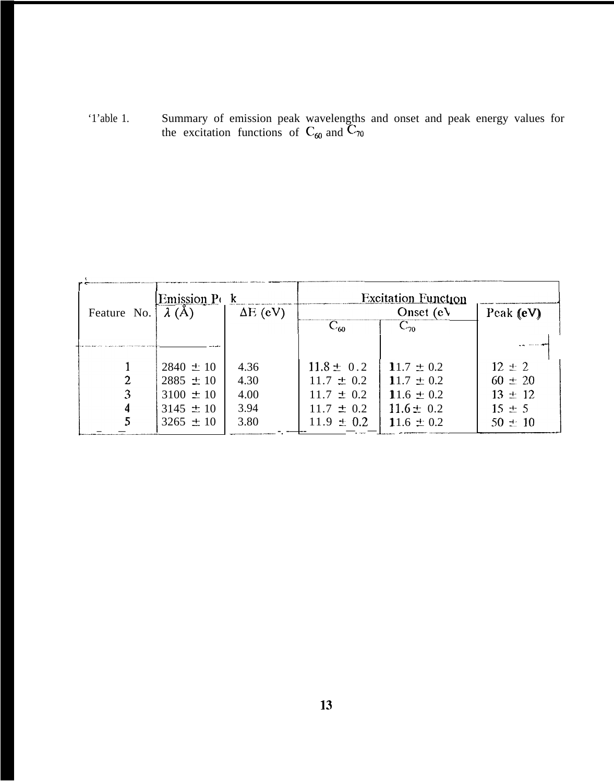'1'able 1. Summary of emission peak wavelengths and onset and peak energy values for the excitation functions of  $C_{60}$  and  $C_{70}$ 

| Feature No. | Emission P(k<br>$\lambda(A)$<br>$\Delta E$ (eV)                                   |                                      | <b>Excitation Function</b><br>Onset $(eV)$                                             |                                                                                        | Peak (eV)                                                             |
|-------------|-----------------------------------------------------------------------------------|--------------------------------------|----------------------------------------------------------------------------------------|----------------------------------------------------------------------------------------|-----------------------------------------------------------------------|
|             |                                                                                   |                                      | $\overline{C_{60}}$                                                                    | $C_{20}$                                                                               |                                                                       |
| 3           | $2840 \pm 10$<br>$2885 \pm 10$<br>$3100 \pm 10$<br>$3145 \pm 10$<br>$3265 \pm 10$ | 4.36<br>4.30<br>4.00<br>3.94<br>3.80 | $11.8 \pm 0.2$<br>$11.7 \pm 0.2$<br>$11.7 \pm 0.2$<br>$11.7 \pm 0.2$<br>$11.9 \pm 0.2$ | 11.7 $\pm$ 0.2<br>11.7 $\pm$ 0.2<br>11.6 $\pm$ 0.2<br>$11.6 \pm 0.2$<br>11.6 $\pm$ 0.2 | $12 \pm 2$<br>$60 \pm 20$<br>$13 \pm 12$<br>$15 \pm 5$<br>$50 \pm 10$ |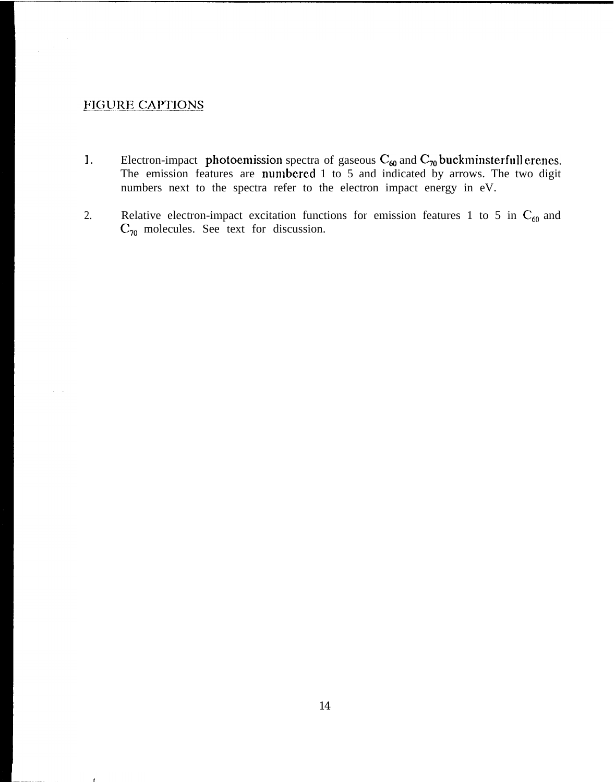## FIGURE CAPTIONS

 $\frac{1}{2} \left( \frac{1}{2} \right)$ 

 $\zeta = \zeta$ 

- 1. Electron-impact photoemission spectra of gaseous  $C_{60}$  and  $C_{70}$  buckminsterfull erenes. The emission features are numbered  $1$  to  $5$  and indicated by arrows. The two digit numbers next to the spectra refer to the electron impact energy in eV.
- 2. Relative electron-impact excitation functions for emission features 1 to 5 in  $C_{60}$  and  $C_{70}$  molecules. See text for discussion.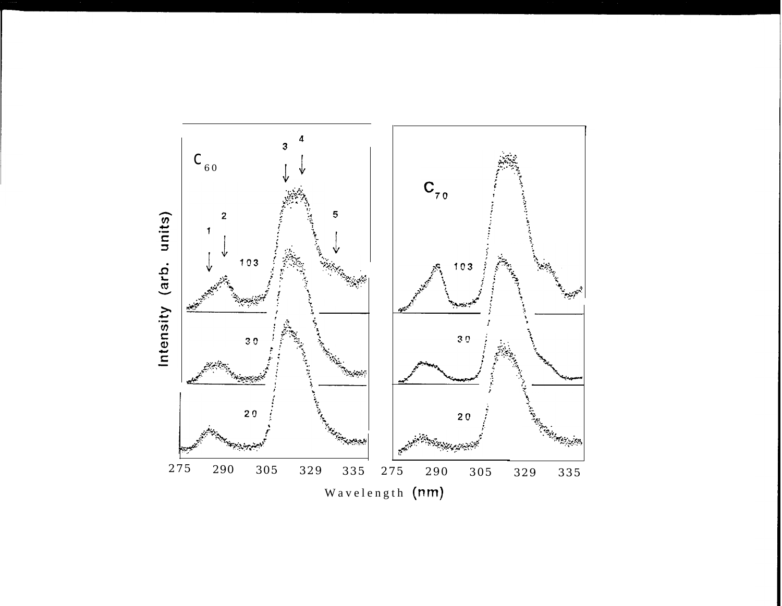